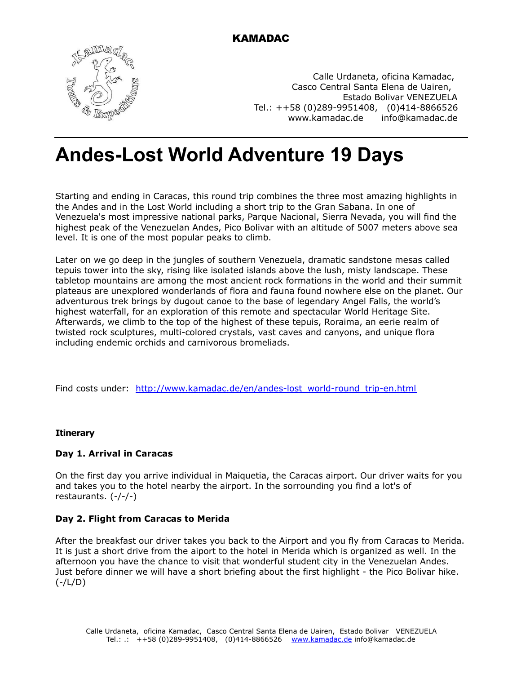

KAMADAC

Calle Urdaneta, oficina Kamadac, Casco Central Santa Elena de Uairen, Estado Bolivar VENEZUELA Tel.: ++58 (0)289-9951408, (0)414-8866526 [www.kamadac.de](http://www.kamadac.de/) [info@kamadac.de](file:///Users/matthiaslewy/Desktop/Business/Kamadac:%20KGF/angelfalls-roraima/en/print/info@kamadac.de)

# **Andes-Lost World Adventure 19 Days**

Starting and ending in Caracas, this round trip combines the three most amazing highlights in the Andes and in the Lost World including a short trip to the Gran Sabana. In one of Venezuela's most impressive national parks, Parque Nacional, Sierra Nevada, you will find the highest peak of the Venezuelan Andes, Pico Bolivar with an altitude of 5007 meters above sea level. It is one of the most popular peaks to climb.

Later on we go deep in the jungles of southern Venezuela, dramatic sandstone mesas called tepuis tower into the sky, rising like isolated islands above the lush, misty landscape. These tabletop mountains are among the most ancient rock formations in the world and their summit plateaus are unexplored wonderlands of flora and fauna found nowhere else on the planet. Our adventurous trek brings by dugout canoe to the base of legendary Angel Falls, the world's highest waterfall, for an exploration of this remote and spectacular World Heritage Site. Afterwards, we climb to the top of the highest of these tepuis, Roraima, an eerie realm of twisted rock sculptures, multi-colored crystals, vast caves and canyons, and unique flora including endemic orchids and carnivorous bromeliads.

Find costs under: http://www.kamadac.de/en/andes-lost\_world-round\_trip-en.html

# **Itinerary**

# **Day 1. Arrival in Caracas**

On the first day you arrive individual in Maiquetia, the Caracas airport. Our driver waits for you and takes you to the hotel nearby the airport. In the sorrounding you find a lot's of restaurants. (-/-/-)

# **Day 2. Flight from Caracas to Merida**

After the breakfast our driver takes you back to the Airport and you fly from Caracas to Merida. It is just a short drive from the aiport to the hotel in Merida which is organized as well. In the afternoon you have the chance to visit that wonderful student city in the Venezuelan Andes. Just before dinner we will have a short briefing about the first highlight - the Pico Bolivar hike. (-/L/D)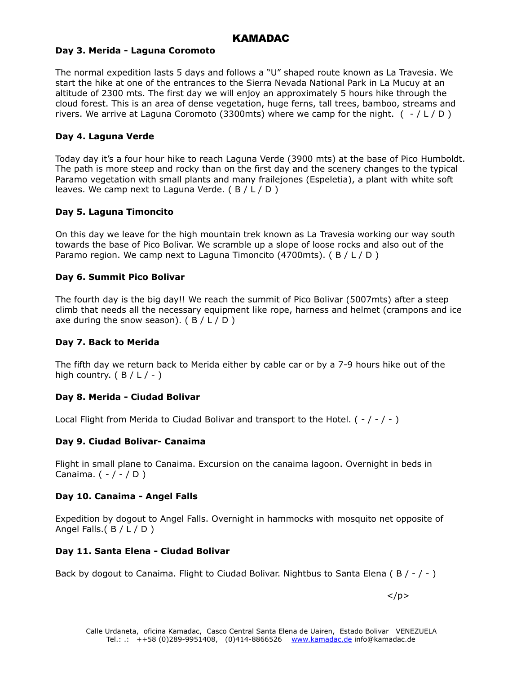# KAMADAC

#### **Day 3. Merida - Laguna Coromoto**

The normal expedition lasts 5 days and follows a "U" shaped route known as La Travesia. We start the hike at one of the entrances to the Sierra Nevada National Park in La Mucuy at an altitude of 2300 mts. The first day we will enjoy an approximately 5 hours hike through the cloud forest. This is an area of dense vegetation, huge ferns, tall trees, bamboo, streams and rivers. We arrive at Laguna Coromoto (3300mts) where we camp for the night.  $( -/ L/D)$ 

#### **Day 4. Laguna Verde**

Today day it's a four hour hike to reach Laguna Verde (3900 mts) at the base of Pico Humboldt. The path is more steep and rocky than on the first day and the scenery changes to the typical Paramo vegetation with small plants and many frailejones (Espeletia), a plant with white soft leaves. We camp next to Laguna Verde.  $(B / L / D)$ 

#### **Day 5. Laguna Timoncito**

On this day we leave for the high mountain trek known as La Travesia working our way south towards the base of Pico Bolivar. We scramble up a slope of loose rocks and also out of the Paramo region. We camp next to Laguna Timoncito (4700mts). ( B / L / D )

#### **Day 6. Summit Pico Bolivar**

The fourth day is the big day!! We reach the summit of Pico Bolivar (5007mts) after a steep climb that needs all the necessary equipment like rope, harness and helmet (crampons and ice axe during the snow season).  $(B / L / D)$ 

# **Day 7. Back to Merida**

The fifth day we return back to Merida either by cable car or by a 7-9 hours hike out of the high country.  $(B / L / -)$ 

# **Day 8. Merida - Ciudad Bolivar**

Local Flight from Merida to Ciudad Bolivar and transport to the Hotel. ( $-/-/-$ )

# **Day 9. Ciudad Bolivar- Canaima**

Flight in small plane to Canaima. Excursion on the canaima lagoon. Overnight in beds in Canaima.  $( - / - / D )$ 

# **Day 10. Canaima - Angel Falls**

Expedition by dogout to Angel Falls. Overnight in hammocks with mosquito net opposite of Angel Falls.( B / L / D )

# **Day 11. Santa Elena - Ciudad Bolivar**

Back by dogout to Canaima. Flight to Ciudad Bolivar. Nightbus to Santa Elena ( $B / -$  / -)

 $\langle$ /p $>$